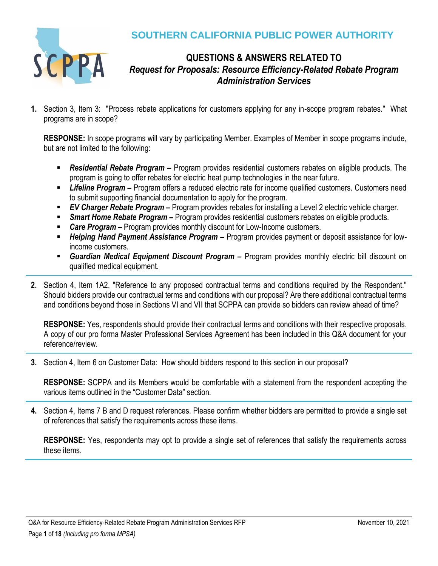

## **SOUTHERN CALIFORNIA PUBLIC POWER AUTHORITY**

## **QUESTIONS & ANSWERS RELATED TO** *Request for Proposals: Resource Efficiency-Related Rebate Program Administration Services*

**1.** Section 3, Item 3: "Process rebate applications for customers applying for any in-scope program rebates." What programs are in scope?

**RESPONSE:** In scope programs will vary by participating Member. Examples of Member in scope programs include, but are not limited to the following:

- **Residential Rebate Program –** Program provides residential customers rebates on eligible products. The program is going to offer rebates for electric heat pump technologies in the near future.
- **EXTEEDITE:** *Lifeline Program* Program offers a reduced electric rate for income qualified customers. Customers need to submit supporting financial documentation to apply for the program.
- *EV Charger Rebate Program* Program provides rebates for installing a Level 2 electric vehicle charger.
- **Smart Home Rebate Program** Program provides residential customers rebates on eligible products.
- *Care Program –* Program provides monthly discount for Low-Income customers.
- *Helping Hand Payment Assistance Program* Program provides payment or deposit assistance for lowincome customers.
- **E** Guardian Medical Equipment Discount Program Program provides monthly electric bill discount on qualified medical equipment.
- **2.** Section 4, Item 1A2, "Reference to any proposed contractual terms and conditions required by the Respondent." Should bidders provide our contractual terms and conditions with our proposal? Are there additional contractual terms and conditions beyond those in Sections VI and VII that SCPPA can provide so bidders can review ahead of time?

**RESPONSE:** Yes, respondents should provide their contractual terms and conditions with their respective proposals. A copy of our pro forma Master Professional Services Agreement has been included in this Q&A document for your reference/review.

**3.** Section 4, Item 6 on Customer Data: How should bidders respond to this section in our proposal?

**RESPONSE:** SCPPA and its Members would be comfortable with a statement from the respondent accepting the various items outlined in the "Customer Data" section.

**4.** Section 4, Items 7 B and D request references. Please confirm whether bidders are permitted to provide a single set of references that satisfy the requirements across these items.

**RESPONSE:** Yes, respondents may opt to provide a single set of references that satisfy the requirements across these items.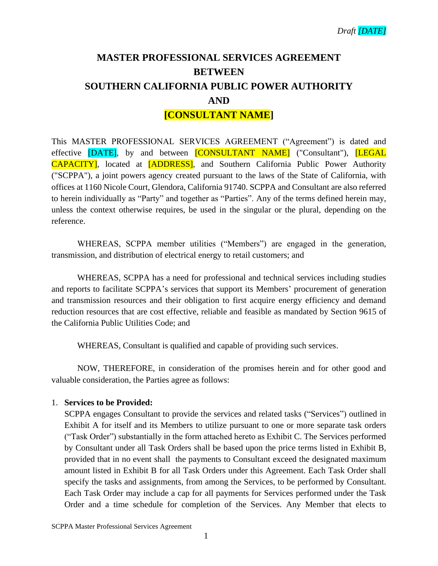# **MASTER PROFESSIONAL SERVICES AGREEMENT BETWEEN SOUTHERN CALIFORNIA PUBLIC POWER AUTHORITY AND [CONSULTANT NAME]**

This MASTER PROFESSIONAL SERVICES AGREEMENT ("Agreement") is dated and effective [DATE], by and between [CONSULTANT NAME] ("Consultant"), [LEGAL CAPACITY], located at [ADDRESS], and Southern California Public Power Authority ("SCPPA"), a joint powers agency created pursuant to the laws of the State of California, with offices at 1160 Nicole Court, Glendora, California 91740. SCPPA and Consultant are also referred to herein individually as "Party" and together as "Parties". Any of the terms defined herein may, unless the context otherwise requires, be used in the singular or the plural, depending on the reference.

WHEREAS, SCPPA member utilities ("Members") are engaged in the generation, transmission, and distribution of electrical energy to retail customers; and

WHEREAS, SCPPA has a need for professional and technical services including studies and reports to facilitate SCPPA's services that support its Members' procurement of generation and transmission resources and their obligation to first acquire energy efficiency and demand reduction resources that are cost effective, reliable and feasible as mandated by Section 9615 of the California Public Utilities Code; and

WHEREAS, Consultant is qualified and capable of providing such services.

NOW, THEREFORE, in consideration of the promises herein and for other good and valuable consideration, the Parties agree as follows:

### 1. **Services to be Provided:**

SCPPA engages Consultant to provide the services and related tasks ("Services") outlined in Exhibit A for itself and its Members to utilize pursuant to one or more separate task orders ("Task Order") substantially in the form attached hereto as Exhibit C. The Services performed by Consultant under all Task Orders shall be based upon the price terms listed in Exhibit B, provided that in no event shall the payments to Consultant exceed the designated maximum amount listed in Exhibit B for all Task Orders under this Agreement. Each Task Order shall specify the tasks and assignments, from among the Services, to be performed by Consultant. Each Task Order may include a cap for all payments for Services performed under the Task Order and a time schedule for completion of the Services. Any Member that elects to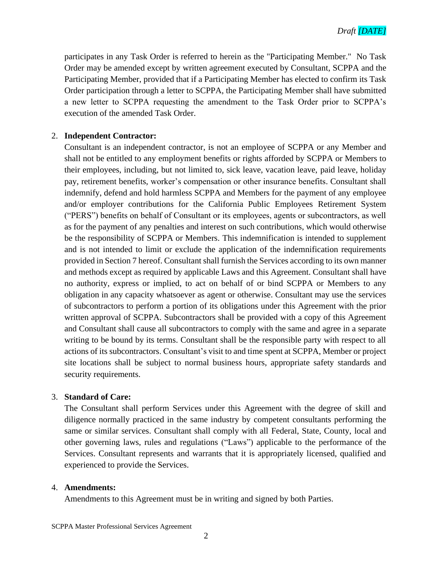participates in any Task Order is referred to herein as the "Participating Member." No Task Order may be amended except by written agreement executed by Consultant, SCPPA and the Participating Member, provided that if a Participating Member has elected to confirm its Task Order participation through a letter to SCPPA, the Participating Member shall have submitted a new letter to SCPPA requesting the amendment to the Task Order prior to SCPPA's execution of the amended Task Order.

#### 2. **Independent Contractor:**

Consultant is an independent contractor, is not an employee of SCPPA or any Member and shall not be entitled to any employment benefits or rights afforded by SCPPA or Members to their employees, including, but not limited to, sick leave, vacation leave, paid leave, holiday pay, retirement benefits, worker's compensation or other insurance benefits. Consultant shall indemnify, defend and hold harmless SCPPA and Members for the payment of any employee and/or employer contributions for the California Public Employees Retirement System ("PERS") benefits on behalf of Consultant or its employees, agents or subcontractors, as well as for the payment of any penalties and interest on such contributions, which would otherwise be the responsibility of SCPPA or Members. This indemnification is intended to supplement and is not intended to limit or exclude the application of the indemnification requirements provided in Section 7 hereof. Consultant shall furnish the Services according to its own manner and methods except as required by applicable Laws and this Agreement. Consultant shall have no authority, express or implied, to act on behalf of or bind SCPPA or Members to any obligation in any capacity whatsoever as agent or otherwise. Consultant may use the services of subcontractors to perform a portion of its obligations under this Agreement with the prior written approval of SCPPA. Subcontractors shall be provided with a copy of this Agreement and Consultant shall cause all subcontractors to comply with the same and agree in a separate writing to be bound by its terms. Consultant shall be the responsible party with respect to all actions of its subcontractors. Consultant's visit to and time spent at SCPPA, Member or project site locations shall be subject to normal business hours, appropriate safety standards and security requirements.

#### 3. **Standard of Care:**

The Consultant shall perform Services under this Agreement with the degree of skill and diligence normally practiced in the same industry by competent consultants performing the same or similar services. Consultant shall comply with all Federal, State, County, local and other governing laws, rules and regulations ("Laws") applicable to the performance of the Services. Consultant represents and warrants that it is appropriately licensed, qualified and experienced to provide the Services.

#### 4. **Amendments:**

Amendments to this Agreement must be in writing and signed by both Parties.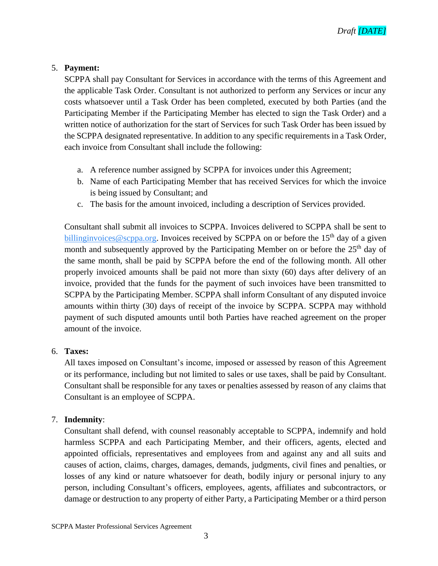#### 5. **Payment:**

SCPPA shall pay Consultant for Services in accordance with the terms of this Agreement and the applicable Task Order. Consultant is not authorized to perform any Services or incur any costs whatsoever until a Task Order has been completed, executed by both Parties (and the Participating Member if the Participating Member has elected to sign the Task Order) and a written notice of authorization for the start of Services for such Task Order has been issued by the SCPPA designated representative. In addition to any specific requirements in a Task Order, each invoice from Consultant shall include the following:

- a. A reference number assigned by SCPPA for invoices under this Agreement;
- b. Name of each Participating Member that has received Services for which the invoice is being issued by Consultant; and
- c. The basis for the amount invoiced, including a description of Services provided.

Consultant shall submit all invoices to SCPPA. Invoices delivered to SCPPA shall be sent to billing invoices @scppa.org. Invoices received by SCPPA on or before the 15<sup>th</sup> day of a given month and subsequently approved by the Participating Member on or before the 25<sup>th</sup> day of the same month, shall be paid by SCPPA before the end of the following month. All other properly invoiced amounts shall be paid not more than sixty (60) days after delivery of an invoice, provided that the funds for the payment of such invoices have been transmitted to SCPPA by the Participating Member. SCPPA shall inform Consultant of any disputed invoice amounts within thirty (30) days of receipt of the invoice by SCPPA. SCPPA may withhold payment of such disputed amounts until both Parties have reached agreement on the proper amount of the invoice.

#### 6. **Taxes:**

All taxes imposed on Consultant's income, imposed or assessed by reason of this Agreement or its performance, including but not limited to sales or use taxes, shall be paid by Consultant. Consultant shall be responsible for any taxes or penalties assessed by reason of any claims that Consultant is an employee of SCPPA.

#### 7. **Indemnity**:

Consultant shall defend, with counsel reasonably acceptable to SCPPA, indemnify and hold harmless SCPPA and each Participating Member, and their officers, agents, elected and appointed officials, representatives and employees from and against any and all suits and causes of action, claims, charges, damages, demands, judgments, civil fines and penalties, or losses of any kind or nature whatsoever for death, bodily injury or personal injury to any person, including Consultant's officers, employees, agents, affiliates and subcontractors, or damage or destruction to any property of either Party, a Participating Member or a third person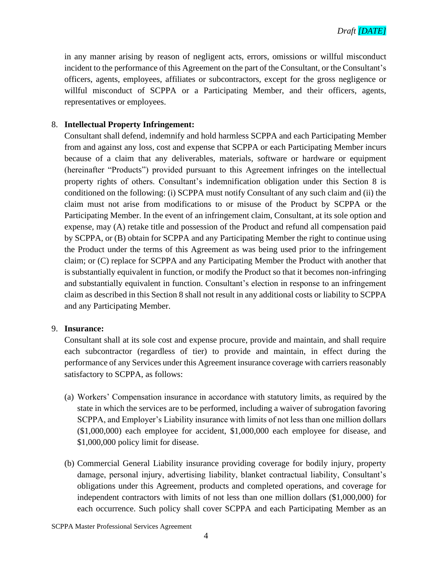in any manner arising by reason of negligent acts, errors, omissions or willful misconduct incident to the performance of this Agreement on the part of the Consultant, or the Consultant's officers, agents, employees, affiliates or subcontractors, except for the gross negligence or willful misconduct of SCPPA or a Participating Member, and their officers, agents, representatives or employees.

#### 8. **Intellectual Property Infringement:**

Consultant shall defend, indemnify and hold harmless SCPPA and each Participating Member from and against any loss, cost and expense that SCPPA or each Participating Member incurs because of a claim that any deliverables, materials, software or hardware or equipment (hereinafter "Products") provided pursuant to this Agreement infringes on the intellectual property rights of others. Consultant's indemnification obligation under this Section 8 is conditioned on the following: (i) SCPPA must notify Consultant of any such claim and (ii) the claim must not arise from modifications to or misuse of the Product by SCPPA or the Participating Member. In the event of an infringement claim, Consultant, at its sole option and expense, may (A) retake title and possession of the Product and refund all compensation paid by SCPPA, or (B) obtain for SCPPA and any Participating Member the right to continue using the Product under the terms of this Agreement as was being used prior to the infringement claim; or (C) replace for SCPPA and any Participating Member the Product with another that is substantially equivalent in function, or modify the Product so that it becomes non-infringing and substantially equivalent in function. Consultant's election in response to an infringement claim as described in this Section 8 shall not result in any additional costs or liability to SCPPA and any Participating Member.

#### 9. **Insurance:**

Consultant shall at its sole cost and expense procure, provide and maintain, and shall require each subcontractor (regardless of tier) to provide and maintain, in effect during the performance of any Services under this Agreement insurance coverage with carriers reasonably satisfactory to SCPPA, as follows:

- (a) Workers' Compensation insurance in accordance with statutory limits, as required by the state in which the services are to be performed, including a waiver of subrogation favoring SCPPA, and Employer's Liability insurance with limits of not less than one million dollars (\$1,000,000) each employee for accident, \$1,000,000 each employee for disease, and \$1,000,000 policy limit for disease.
- (b) Commercial General Liability insurance providing coverage for bodily injury, property damage, personal injury, advertising liability, blanket contractual liability, Consultant's obligations under this Agreement, products and completed operations, and coverage for independent contractors with limits of not less than one million dollars (\$1,000,000) for each occurrence. Such policy shall cover SCPPA and each Participating Member as an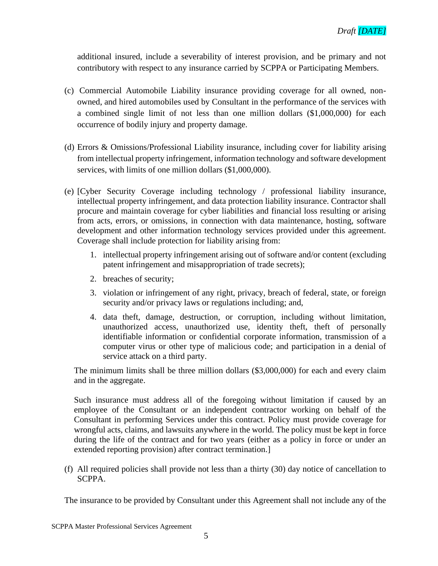additional insured, include a severability of interest provision, and be primary and not contributory with respect to any insurance carried by SCPPA or Participating Members.

- (c) Commercial Automobile Liability insurance providing coverage for all owned, nonowned, and hired automobiles used by Consultant in the performance of the services with a combined single limit of not less than one million dollars (\$1,000,000) for each occurrence of bodily injury and property damage.
- (d) Errors & Omissions/Professional Liability insurance, including cover for liability arising from intellectual property infringement, information technology and software development services, with limits of one million dollars (\$1,000,000).
- (e) [Cyber Security Coverage including technology / professional liability insurance, intellectual property infringement, and data protection liability insurance. Contractor shall procure and maintain coverage for cyber liabilities and financial loss resulting or arising from acts, errors, or omissions, in connection with data maintenance, hosting, software development and other information technology services provided under this agreement. Coverage shall include protection for liability arising from:
	- 1. intellectual property infringement arising out of software and/or content (excluding patent infringement and misappropriation of trade secrets);
	- 2. breaches of security;
	- 3. violation or infringement of any right, privacy, breach of federal, state, or foreign security and/or privacy laws or regulations including; and,
	- 4. data theft, damage, destruction, or corruption, including without limitation, unauthorized access, unauthorized use, identity theft, theft of personally identifiable information or confidential corporate information, transmission of a computer virus or other type of malicious code; and participation in a denial of service attack on a third party.

The minimum limits shall be three million dollars (\$3,000,000) for each and every claim and in the aggregate.

Such insurance must address all of the foregoing without limitation if caused by an employee of the Consultant or an independent contractor working on behalf of the Consultant in performing Services under this contract. Policy must provide coverage for wrongful acts, claims, and lawsuits anywhere in the world. The policy must be kept in force during the life of the contract and for two years (either as a policy in force or under an extended reporting provision) after contract termination.]

(f) All required policies shall provide not less than a thirty (30) day notice of cancellation to SCPPA.

The insurance to be provided by Consultant under this Agreement shall not include any of the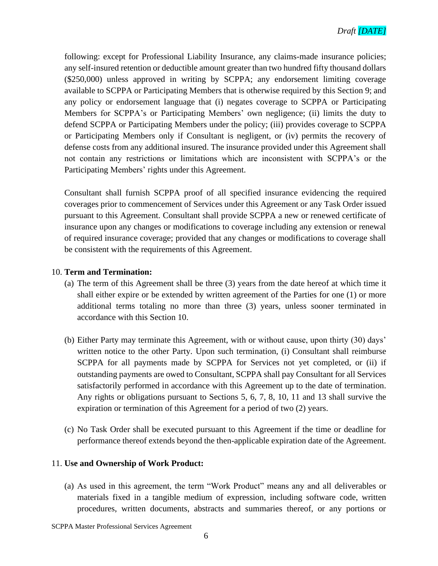following: except for Professional Liability Insurance, any claims-made insurance policies; any self-insured retention or deductible amount greater than two hundred fifty thousand dollars (\$250,000) unless approved in writing by SCPPA; any endorsement limiting coverage available to SCPPA or Participating Members that is otherwise required by this Section 9; and any policy or endorsement language that (i) negates coverage to SCPPA or Participating Members for SCPPA's or Participating Members' own negligence; (ii) limits the duty to defend SCPPA or Participating Members under the policy; (iii) provides coverage to SCPPA or Participating Members only if Consultant is negligent, or (iv) permits the recovery of defense costs from any additional insured. The insurance provided under this Agreement shall not contain any restrictions or limitations which are inconsistent with SCPPA's or the Participating Members' rights under this Agreement.

Consultant shall furnish SCPPA proof of all specified insurance evidencing the required coverages prior to commencement of Services under this Agreement or any Task Order issued pursuant to this Agreement. Consultant shall provide SCPPA a new or renewed certificate of insurance upon any changes or modifications to coverage including any extension or renewal of required insurance coverage; provided that any changes or modifications to coverage shall be consistent with the requirements of this Agreement.

#### 10. **Term and Termination:**

- (a) The term of this Agreement shall be three (3) years from the date hereof at which time it shall either expire or be extended by written agreement of the Parties for one (1) or more additional terms totaling no more than three (3) years, unless sooner terminated in accordance with this Section 10.
- (b) Either Party may terminate this Agreement, with or without cause, upon thirty (30) days' written notice to the other Party. Upon such termination, (i) Consultant shall reimburse SCPPA for all payments made by SCPPA for Services not yet completed, or (ii) if outstanding payments are owed to Consultant, SCPPA shall pay Consultant for all Services satisfactorily performed in accordance with this Agreement up to the date of termination. Any rights or obligations pursuant to Sections 5, 6, 7, 8, 10, 11 and 13 shall survive the expiration or termination of this Agreement for a period of two (2) years.
- (c) No Task Order shall be executed pursuant to this Agreement if the time or deadline for performance thereof extends beyond the then-applicable expiration date of the Agreement.

#### 11. **Use and Ownership of Work Product:**

(a) As used in this agreement, the term "Work Product" means any and all deliverables or materials fixed in a tangible medium of expression, including software code, written procedures, written documents, abstracts and summaries thereof, or any portions or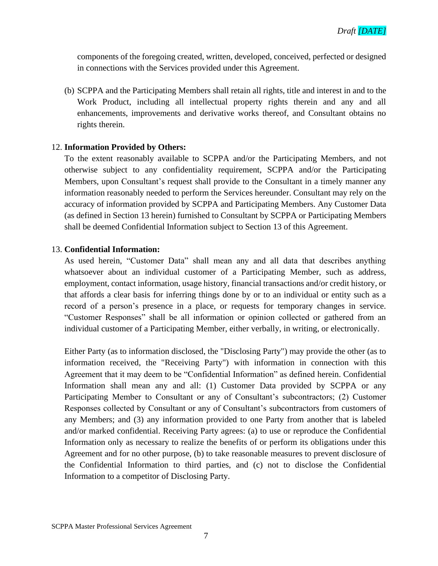components of the foregoing created, written, developed, conceived, perfected or designed in connections with the Services provided under this Agreement.

(b) SCPPA and the Participating Members shall retain all rights, title and interest in and to the Work Product, including all intellectual property rights therein and any and all enhancements, improvements and derivative works thereof, and Consultant obtains no rights therein.

### 12. **Information Provided by Others:**

To the extent reasonably available to SCPPA and/or the Participating Members, and not otherwise subject to any confidentiality requirement, SCPPA and/or the Participating Members, upon Consultant's request shall provide to the Consultant in a timely manner any information reasonably needed to perform the Services hereunder. Consultant may rely on the accuracy of information provided by SCPPA and Participating Members. Any Customer Data (as defined in Section 13 herein) furnished to Consultant by SCPPA or Participating Members shall be deemed Confidential Information subject to Section 13 of this Agreement.

#### 13. **Confidential Information:**

As used herein, "Customer Data" shall mean any and all data that describes anything whatsoever about an individual customer of a Participating Member, such as address, employment, contact information, usage history, financial transactions and/or credit history, or that affords a clear basis for inferring things done by or to an individual or entity such as a record of a person's presence in a place, or requests for temporary changes in service. "Customer Responses" shall be all information or opinion collected or gathered from an individual customer of a Participating Member, either verbally, in writing, or electronically.

Either Party (as to information disclosed, the "Disclosing Party") may provide the other (as to information received, the "Receiving Party") with information in connection with this Agreement that it may deem to be "Confidential Information" as defined herein. Confidential Information shall mean any and all: (1) Customer Data provided by SCPPA or any Participating Member to Consultant or any of Consultant's subcontractors; (2) Customer Responses collected by Consultant or any of Consultant's subcontractors from customers of any Members; and (3) any information provided to one Party from another that is labeled and/or marked confidential. Receiving Party agrees: (a) to use or reproduce the Confidential Information only as necessary to realize the benefits of or perform its obligations under this Agreement and for no other purpose, (b) to take reasonable measures to prevent disclosure of the Confidential Information to third parties, and (c) not to disclose the Confidential Information to a competitor of Disclosing Party.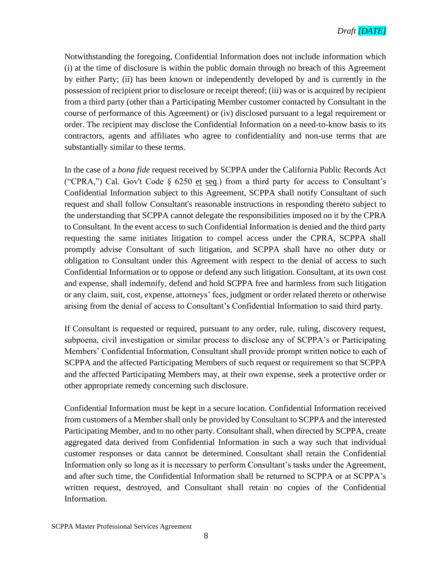Notwithstanding the foregoing, Confidential Information does not include information which (i) at the time of disclosure is within the public domain through no breach of this Agreement by either Party; (ii) has been known or independently developed by and is currently in the possession of recipient prior to disclosure or receipt thereof; (iii) was or is acquired by recipient from a third party (other than a Participating Member customer contacted by Consultant in the course of performance of this Agreement) or (iv) disclosed pursuant to a legal requirement or order. The recipient may disclose the Confidential Information on a need-to-know basis to its contractors, agents and affiliates who agree to confidentiality and non-use terms that are substantially similar to these terms.

In the case of a *bona fide* request received by SCPPA under the California Public Records Act ("CPRA,") Cal. Gov't Code § 6250 et seq.) from a third party for access to Consultant's Confidential Information subject to this Agreement, SCPPA shall notify Consultant of such request and shall follow Consultant's reasonable instructions in responding thereto subject to the understanding that SCPPA cannot delegate the responsibilities imposed on it by the CPRA to Consultant. In the event access to such Confidential Information is denied and the third party requesting the same initiates litigation to compel access under the CPRA, SCPPA shall promptly advise Consultant of such litigation, and SCPPA shall have no other duty or obligation to Consultant under this Agreement with respect to the denial of access to such Confidential Information or to oppose or defend any such litigation. Consultant, at its own cost and expense, shall indemnify, defend and hold SCPPA free and harmless from such litigation or any claim, suit, cost, expense, attorneys' fees, judgment or order related thereto or otherwise arising from the denial of access to Consultant's Confidential Information to said third party.

If Consultant is requested or required, pursuant to any order, rule, ruling, discovery request, subpoena, civil investigation or similar process to disclose any of SCPPA's or Participating Members' Confidential Information, Consultant shall provide prompt written notice to each of SCPPA and the affected Participating Members of such request or requirement so that SCPPA and the affected Participating Members may, at their own expense, seek a protective order or other appropriate remedy concerning such disclosure.

Confidential Information must be kept in a secure location. Confidential Information received from customers of a Member shall only be provided by Consultant to SCPPA and the interested Participating Member, and to no other party. Consultant shall, when directed by SCPPA, create aggregated data derived from Confidential Information in such a way such that individual customer responses or data cannot be determined. Consultant shall retain the Confidential Information only so long as it is necessary to perform Consultant's tasks under the Agreement, and after such time, the Confidential Information shall be returned to SCPPA or at SCPPA's written request, destroyed, and Consultant shall retain no copies of the Confidential Information.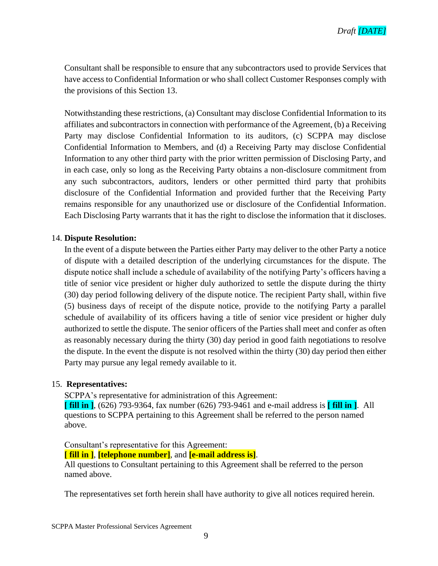

Consultant shall be responsible to ensure that any subcontractors used to provide Services that have access to Confidential Information or who shall collect Customer Responses comply with the provisions of this Section 13.

Notwithstanding these restrictions, (a) Consultant may disclose Confidential Information to its affiliates and subcontractors in connection with performance of the Agreement, (b) a Receiving Party may disclose Confidential Information to its auditors, (c) SCPPA may disclose Confidential Information to Members, and (d) a Receiving Party may disclose Confidential Information to any other third party with the prior written permission of Disclosing Party, and in each case, only so long as the Receiving Party obtains a non-disclosure commitment from any such subcontractors, auditors, lenders or other permitted third party that prohibits disclosure of the Confidential Information and provided further that the Receiving Party remains responsible for any unauthorized use or disclosure of the Confidential Information. Each Disclosing Party warrants that it has the right to disclose the information that it discloses.

#### 14. **Dispute Resolution:**

In the event of a dispute between the Parties either Party may deliver to the other Party a notice of dispute with a detailed description of the underlying circumstances for the dispute. The dispute notice shall include a schedule of availability of the notifying Party's officers having a title of senior vice president or higher duly authorized to settle the dispute during the thirty (30) day period following delivery of the dispute notice. The recipient Party shall, within five (5) business days of receipt of the dispute notice, provide to the notifying Party a parallel schedule of availability of its officers having a title of senior vice president or higher duly authorized to settle the dispute. The senior officers of the Parties shall meet and confer as often as reasonably necessary during the thirty (30) day period in good faith negotiations to resolve the dispute. In the event the dispute is not resolved within the thirty (30) day period then either Party may pursue any legal remedy available to it.

#### 15. **Representatives:**

SCPPA's representative for administration of this Agreement:

**[ fill in ]**, (626) 793-9364, fax number (626) 793-9461 and e-mail address is **[ fill in ]**. All questions to SCPPA pertaining to this Agreement shall be referred to the person named above.

Consultant's representative for this Agreement:

**[ fill in ]**, **[telephone number]**, and **[e-mail address is]**.

All questions to Consultant pertaining to this Agreement shall be referred to the person named above.

The representatives set forth herein shall have authority to give all notices required herein.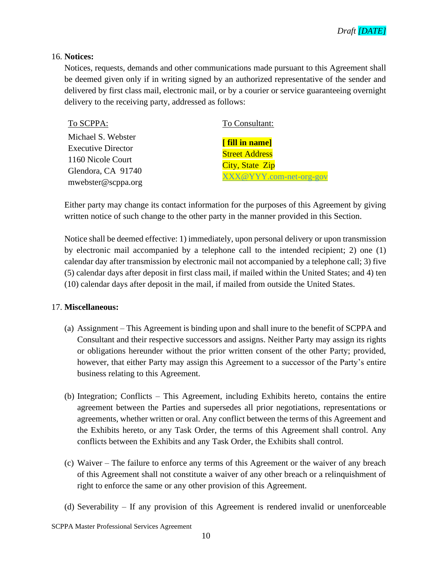#### 16. **Notices:**

Notices, requests, demands and other communications made pursuant to this Agreement shall be deemed given only if in writing signed by an authorized representative of the sender and delivered by first class mail, electronic mail, or by a courier or service guaranteeing overnight delivery to the receiving party, addressed as follows:

| To SCPPA:                 | To Consultant:          |
|---------------------------|-------------------------|
| Michael S. Webster        |                         |
| <b>Executive Director</b> | [fill in name]          |
| 1160 Nicole Court         | <b>Street Address</b>   |
| Glendora, CA 91740        | <b>City, State Zip</b>  |
| mwebster@scppa.org        | XXX@YYY.com-net-org-gov |

Either party may change its contact information for the purposes of this Agreement by giving written notice of such change to the other party in the manner provided in this Section.

Notice shall be deemed effective: 1) immediately, upon personal delivery or upon transmission by electronic mail accompanied by a telephone call to the intended recipient; 2) one (1) calendar day after transmission by electronic mail not accompanied by a telephone call; 3) five (5) calendar days after deposit in first class mail, if mailed within the United States; and 4) ten (10) calendar days after deposit in the mail, if mailed from outside the United States.

#### 17. **Miscellaneous:**

- (a) Assignment This Agreement is binding upon and shall inure to the benefit of SCPPA and Consultant and their respective successors and assigns. Neither Party may assign its rights or obligations hereunder without the prior written consent of the other Party; provided, however, that either Party may assign this Agreement to a successor of the Party's entire business relating to this Agreement.
- (b) Integration; Conflicts This Agreement, including Exhibits hereto, contains the entire agreement between the Parties and supersedes all prior negotiations, representations or agreements, whether written or oral. Any conflict between the terms of this Agreement and the Exhibits hereto, or any Task Order, the terms of this Agreement shall control. Any conflicts between the Exhibits and any Task Order, the Exhibits shall control.
- (c) Waiver The failure to enforce any terms of this Agreement or the waiver of any breach of this Agreement shall not constitute a waiver of any other breach or a relinquishment of right to enforce the same or any other provision of this Agreement.
- (d) Severability If any provision of this Agreement is rendered invalid or unenforceable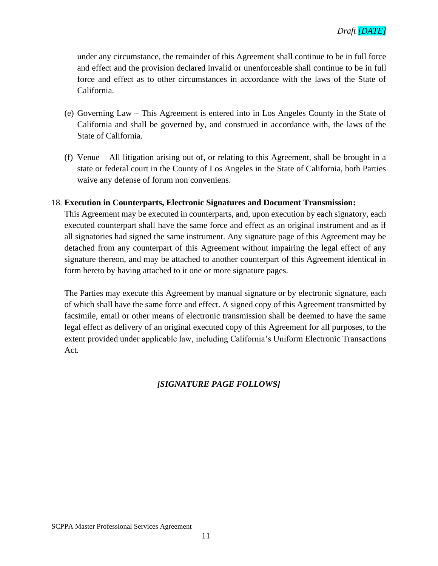under any circumstance, the remainder of this Agreement shall continue to be in full force and effect and the provision declared invalid or unenforceable shall continue to be in full force and effect as to other circumstances in accordance with the laws of the State of California.

- (e) Governing Law This Agreement is entered into in Los Angeles County in the State of California and shall be governed by, and construed in accordance with, the laws of the State of California.
- (f) Venue All litigation arising out of, or relating to this Agreement, shall be brought in a state or federal court in the County of Los Angeles in the State of California, both Parties waive any defense of forum non conveniens.

#### 18. **Execution in Counterparts, Electronic Signatures and Document Transmission:**

This Agreement may be executed in counterparts, and, upon execution by each signatory, each executed counterpart shall have the same force and effect as an original instrument and as if all signatories had signed the same instrument. Any signature page of this Agreement may be detached from any counterpart of this Agreement without impairing the legal effect of any signature thereon, and may be attached to another counterpart of this Agreement identical in form hereto by having attached to it one or more signature pages.

The Parties may execute this Agreement by manual signature or by electronic signature, each of which shall have the same force and effect. A signed copy of this Agreement transmitted by facsimile, email or other means of electronic transmission shall be deemed to have the same legal effect as delivery of an original executed copy of this Agreement for all purposes, to the extent provided under applicable law, including California's Uniform Electronic Transactions Act.

### *[SIGNATURE PAGE FOLLOWS]*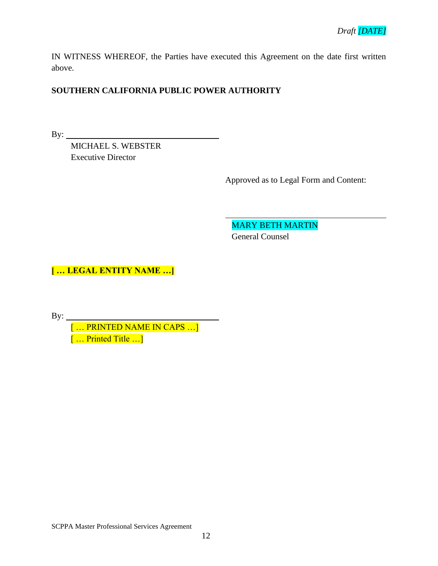IN WITNESS WHEREOF, the Parties have executed this Agreement on the date first written above.

### **SOUTHERN CALIFORNIA PUBLIC POWER AUTHORITY**

By:  $\qquad \qquad$ 

MICHAEL S. WEBSTER Executive Director

Approved as to Legal Form and Content:

MARY BETH MARTIN General Counsel

**[ … LEGAL ENTITY NAME …]**

By:

[ … PRINTED NAME IN CAPS …] [ … Printed Title …]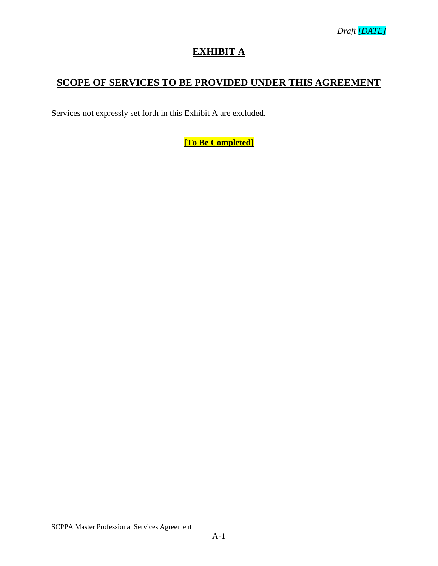## **EXHIBIT A**

## **SCOPE OF SERVICES TO BE PROVIDED UNDER THIS AGREEMENT**

Services not expressly set forth in this Exhibit A are excluded.

**[To Be Completed]**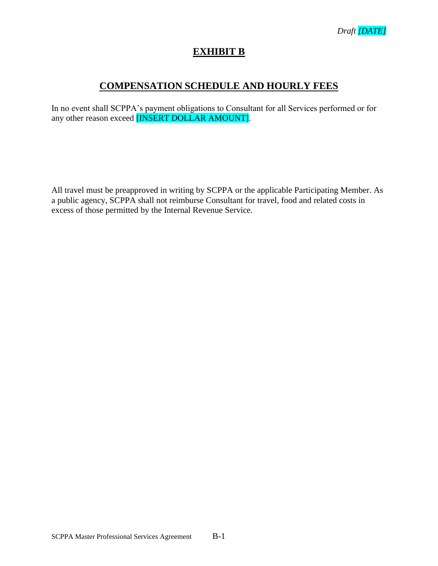

### **EXHIBIT B**

### **COMPENSATION SCHEDULE AND HOURLY FEES**

In no event shall SCPPA's payment obligations to Consultant for all Services performed or for any other reason exceed [INSERT DOLLAR AMOUNT].

All travel must be preapproved in writing by SCPPA or the applicable Participating Member. As a public agency, SCPPA shall not reimburse Consultant for travel, food and related costs in excess of those permitted by the Internal Revenue Service.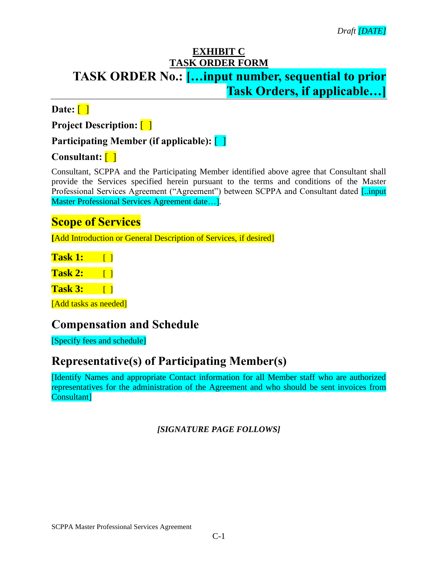## **EXHIBIT C TASK ORDER FORM TASK ORDER No.: […input number, sequential to prior Task Orders, if applicable…]**

**Date:** [ ]

**Project Description:** [ ]

## **Participating Member (if applicable):** [ ]

## **Consultant:** [ ]

Consultant, SCPPA and the Participating Member identified above agree that Consultant shall provide the Services specified herein pursuant to the terms and conditions of the Master Professional Services Agreement ("Agreement") between SCPPA and Consultant dated [..input Master Professional Services Agreement date…].

## **Scope of Services**

**[**Add Introduction or General Description of Services, if desired]

| <b>Task 1:</b> |  |
|----------------|--|
| <b>Task 2:</b> |  |

**Task 3:** [ ]

[Add tasks as needed]

# **Compensation and Schedule**

[Specify fees and schedule]

# **Representative(s) of Participating Member(s)**

[Identify Names and appropriate Contact information for all Member staff who are authorized representatives for the administration of the Agreement and who should be sent invoices from Consultant]

*[SIGNATURE PAGE FOLLOWS]*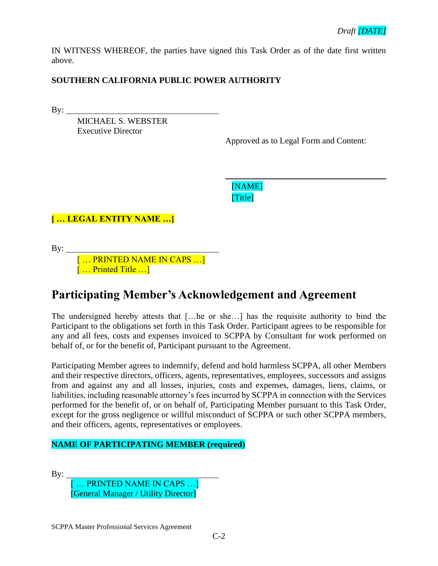IN WITNESS WHEREOF, the parties have signed this Task Order as of the date first written above.

### **SOUTHERN CALIFORNIA PUBLIC POWER AUTHORITY**

By:

MICHAEL S. WEBSTER Executive Director

Approved as to Legal Form and Content:

[NAME] [Title]

**[ … LEGAL ENTITY NAME …]**

By:

[ … PRINTED NAME IN CAPS …] [ … Printed Title …]

# **Participating Member's Acknowledgement and Agreement**

The undersigned hereby attests that […he or she…] has the requisite authority to bind the Participant to the obligations set forth in this Task Order. Participant agrees to be responsible for any and all fees, costs and expenses invoiced to SCPPA by Consultant for work performed on behalf of, or for the benefit of, Participant pursuant to the Agreement.

Participating Member agrees to indemnify, defend and hold harmless SCPPA, all other Members and their respective directors, officers, agents, representatives, employees, successors and assigns from and against any and all losses, injuries, costs and expenses, damages, liens, claims, or liabilities, including reasonable attorney's fees incurred by SCPPA in connection with the Services performed for the benefit of, or on behalf of, Participating Member pursuant to this Task Order, except for the gross negligence or willful misconduct of SCPPA or such other SCPPA members, and their officers, agents, representatives or employees.

### **NAME OF PARTICIPATING MEMBER (required)**

 $By:$ 

[ … PRINTED NAME IN CAPS …] [General Manager / Utility Director]